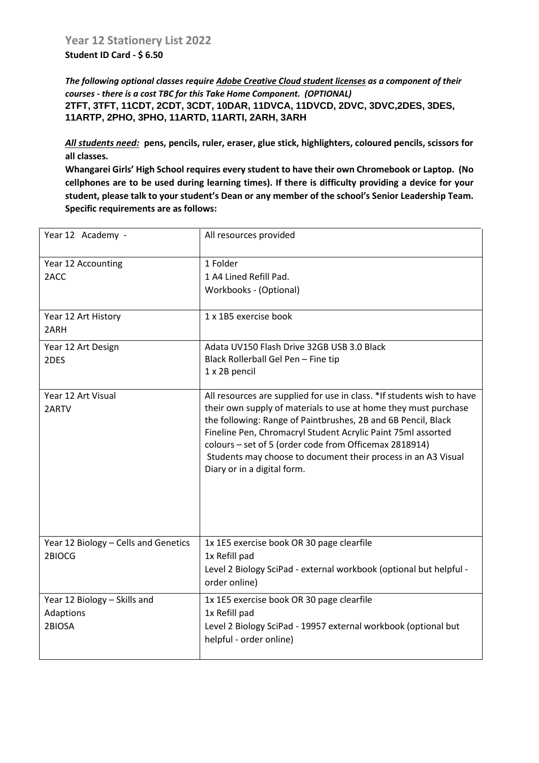**Student ID Card - \$ 6.50**

*The following optional classes require Adobe Creative Cloud student licenses as a component of their courses - there is a cost TBC for this Take Home Component. (OPTIONAL)* **2TFT, 3TFT, 11CDT, 2CDT, 3CDT, 10DAR, 11DVCA, 11DVCD, 2DVC, 3DVC,2DES, 3DES, 11ARTP, 2PHO, 3PHO, 11ARTD, 11ARTI, 2ARH, 3ARH**

*All students need:* **pens, pencils, ruler, eraser, glue stick, highlighters, coloured pencils, scissors for all classes.** 

**Whangarei Girls' High School requires every student to have their own Chromebook or Laptop. (No cellphones are to be used during learning times). If there is difficulty providing a device for your student, please talk to your student's Dean or any member of the school's Senior Leadership Team. Specific requirements are as follows:**

| Year 12 Academy -                    | All resources provided                                                                                                        |
|--------------------------------------|-------------------------------------------------------------------------------------------------------------------------------|
| Year 12 Accounting                   | 1 Folder                                                                                                                      |
| 2ACC                                 | 1 A4 Lined Refill Pad.                                                                                                        |
|                                      | Workbooks - (Optional)                                                                                                        |
| Year 12 Art History                  | 1 x 1B5 exercise book                                                                                                         |
| 2ARH                                 |                                                                                                                               |
| Year 12 Art Design                   | Adata UV150 Flash Drive 32GB USB 3.0 Black                                                                                    |
| 2DES                                 | Black Rollerball Gel Pen - Fine tip                                                                                           |
|                                      | 1 x 2B pencil                                                                                                                 |
| Year 12 Art Visual                   | All resources are supplied for use in class. *If students wish to have                                                        |
| 2ARTV                                | their own supply of materials to use at home they must purchase                                                               |
|                                      | the following: Range of Paintbrushes, 2B and 6B Pencil, Black<br>Fineline Pen, Chromacryl Student Acrylic Paint 75ml assorted |
|                                      | colours - set of 5 (order code from Officemax 2818914)                                                                        |
|                                      | Students may choose to document their process in an A3 Visual                                                                 |
|                                      | Diary or in a digital form.                                                                                                   |
|                                      |                                                                                                                               |
|                                      |                                                                                                                               |
|                                      |                                                                                                                               |
|                                      |                                                                                                                               |
| Year 12 Biology - Cells and Genetics | 1x 1E5 exercise book OR 30 page clearfile                                                                                     |
| 2BIOCG                               | 1x Refill pad                                                                                                                 |
|                                      | Level 2 Biology SciPad - external workbook (optional but helpful -<br>order online)                                           |
|                                      |                                                                                                                               |
| Year 12 Biology - Skills and         | 1x 1E5 exercise book OR 30 page clearfile                                                                                     |
| Adaptions                            | 1x Refill pad                                                                                                                 |
| 2BIOSA                               | Level 2 Biology SciPad - 19957 external workbook (optional but                                                                |
|                                      | helpful - order online)                                                                                                       |
|                                      |                                                                                                                               |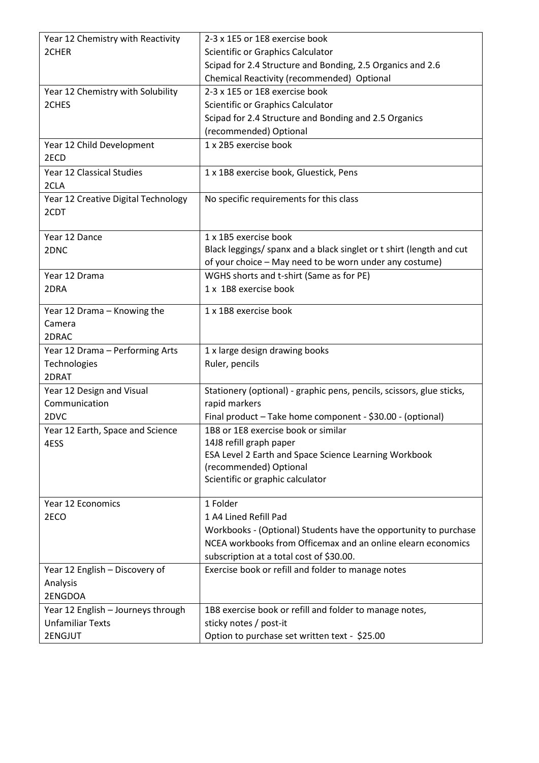| Year 12 Chemistry with Reactivity          | 2-3 x 1E5 or 1E8 exercise book                                                                    |
|--------------------------------------------|---------------------------------------------------------------------------------------------------|
| 2CHER                                      | Scientific or Graphics Calculator                                                                 |
|                                            | Scipad for 2.4 Structure and Bonding, 2.5 Organics and 2.6                                        |
|                                            | Chemical Reactivity (recommended) Optional                                                        |
| Year 12 Chemistry with Solubility          | 2-3 x 1E5 or 1E8 exercise book                                                                    |
| 2CHES                                      | Scientific or Graphics Calculator                                                                 |
|                                            | Scipad for 2.4 Structure and Bonding and 2.5 Organics                                             |
|                                            | (recommended) Optional                                                                            |
| Year 12 Child Development                  | 1 x 2B5 exercise book                                                                             |
| 2ECD                                       |                                                                                                   |
| Year 12 Classical Studies                  | 1 x 1B8 exercise book, Gluestick, Pens                                                            |
| 2CLA                                       |                                                                                                   |
| Year 12 Creative Digital Technology        | No specific requirements for this class                                                           |
| 2CDT                                       |                                                                                                   |
|                                            |                                                                                                   |
| Year 12 Dance                              | 1 x 1B5 exercise book                                                                             |
| 2DNC                                       | Black leggings/ spanx and a black singlet or t shirt (length and cut                              |
|                                            | of your choice - May need to be worn under any costume)                                           |
| Year 12 Drama                              | WGHS shorts and t-shirt (Same as for PE)                                                          |
| 2DRA                                       | 1 x 1B8 exercise book                                                                             |
|                                            | 1 x 1B8 exercise book                                                                             |
| Year 12 Drama - Knowing the                |                                                                                                   |
| Camera                                     |                                                                                                   |
| 2DRAC                                      |                                                                                                   |
| Year 12 Drama - Performing Arts            | 1 x large design drawing books                                                                    |
| Technologies<br>2DRAT                      | Ruler, pencils                                                                                    |
|                                            |                                                                                                   |
| Year 12 Design and Visual<br>Communication | Stationery (optional) - graphic pens, pencils, scissors, glue sticks,<br>rapid markers            |
| 2DVC                                       |                                                                                                   |
|                                            | Final product - Take home component - \$30.00 - (optional)<br>1B8 or 1E8 exercise book or similar |
| Year 12 Earth, Space and Science           | 14J8 refill graph paper                                                                           |
| 4ESS                                       | ESA Level 2 Earth and Space Science Learning Workbook                                             |
|                                            | (recommended) Optional                                                                            |
|                                            | Scientific or graphic calculator                                                                  |
|                                            |                                                                                                   |
| Year 12 Economics                          | 1 Folder                                                                                          |
| 2ECO                                       | 1 A4 Lined Refill Pad                                                                             |
|                                            | Workbooks - (Optional) Students have the opportunity to purchase                                  |
|                                            | NCEA workbooks from Officemax and an online elearn economics                                      |
|                                            | subscription at a total cost of \$30.00.                                                          |
| Year 12 English - Discovery of             | Exercise book or refill and folder to manage notes                                                |
| Analysis                                   |                                                                                                   |
| 2ENGDOA                                    |                                                                                                   |
| Year 12 English - Journeys through         | 1B8 exercise book or refill and folder to manage notes,                                           |
| <b>Unfamiliar Texts</b>                    | sticky notes / post-it                                                                            |
| 2ENGJUT                                    | Option to purchase set written text - \$25.00                                                     |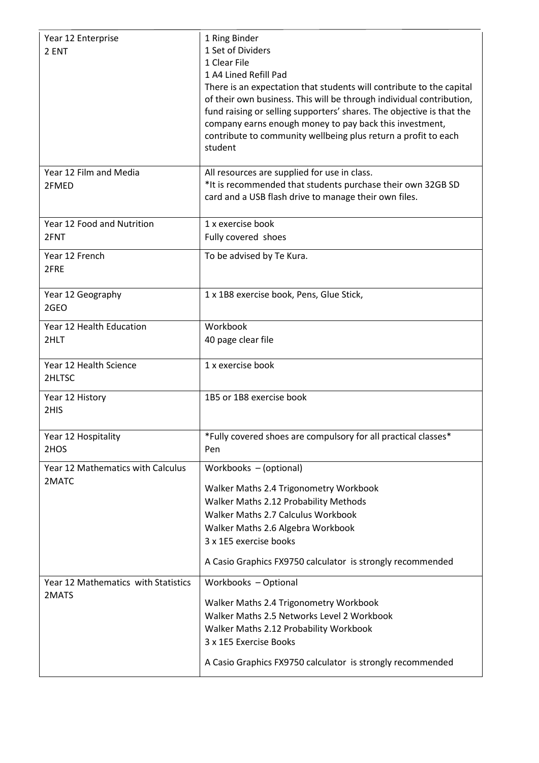| Year 12 Enterprise<br>2 ENT                  | 1 Ring Binder<br>1 Set of Dividers<br>1 Clear File<br>1 A4 Lined Refill Pad<br>There is an expectation that students will contribute to the capital<br>of their own business. This will be through individual contribution,<br>fund raising or selling supporters' shares. The objective is that the<br>company earns enough money to pay back this investment,<br>contribute to community wellbeing plus return a profit to each<br>student |
|----------------------------------------------|----------------------------------------------------------------------------------------------------------------------------------------------------------------------------------------------------------------------------------------------------------------------------------------------------------------------------------------------------------------------------------------------------------------------------------------------|
| Year 12 Film and Media<br>2FMED              | All resources are supplied for use in class.<br>*It is recommended that students purchase their own 32GB SD<br>card and a USB flash drive to manage their own files.                                                                                                                                                                                                                                                                         |
| Year 12 Food and Nutrition<br>2FNT           | 1 x exercise book<br>Fully covered shoes                                                                                                                                                                                                                                                                                                                                                                                                     |
| Year 12 French<br>2FRE                       | To be advised by Te Kura.                                                                                                                                                                                                                                                                                                                                                                                                                    |
| Year 12 Geography<br>2GEO                    | 1 x 1B8 exercise book, Pens, Glue Stick,                                                                                                                                                                                                                                                                                                                                                                                                     |
| Year 12 Health Education<br>2HLT             | Workbook<br>40 page clear file                                                                                                                                                                                                                                                                                                                                                                                                               |
| Year 12 Health Science<br>2HLTSC             | 1 x exercise book                                                                                                                                                                                                                                                                                                                                                                                                                            |
| Year 12 History<br>2HIS                      | 1B5 or 1B8 exercise book                                                                                                                                                                                                                                                                                                                                                                                                                     |
| Year 12 Hospitality<br>2HOS                  | *Fully covered shoes are compulsory for all practical classes*<br>Pen                                                                                                                                                                                                                                                                                                                                                                        |
| Year 12 Mathematics with Calculus<br>2MATC   | Workbooks - (optional)<br>Walker Maths 2.4 Trigonometry Workbook<br>Walker Maths 2.12 Probability Methods<br>Walker Maths 2.7 Calculus Workbook<br>Walker Maths 2.6 Algebra Workbook<br>3 x 1E5 exercise books<br>A Casio Graphics FX9750 calculator is strongly recommended                                                                                                                                                                 |
| Year 12 Mathematics with Statistics<br>2MATS | Workbooks - Optional<br>Walker Maths 2.4 Trigonometry Workbook<br>Walker Maths 2.5 Networks Level 2 Workbook<br>Walker Maths 2.12 Probability Workbook<br>3 x 1E5 Exercise Books<br>A Casio Graphics FX9750 calculator is strongly recommended                                                                                                                                                                                               |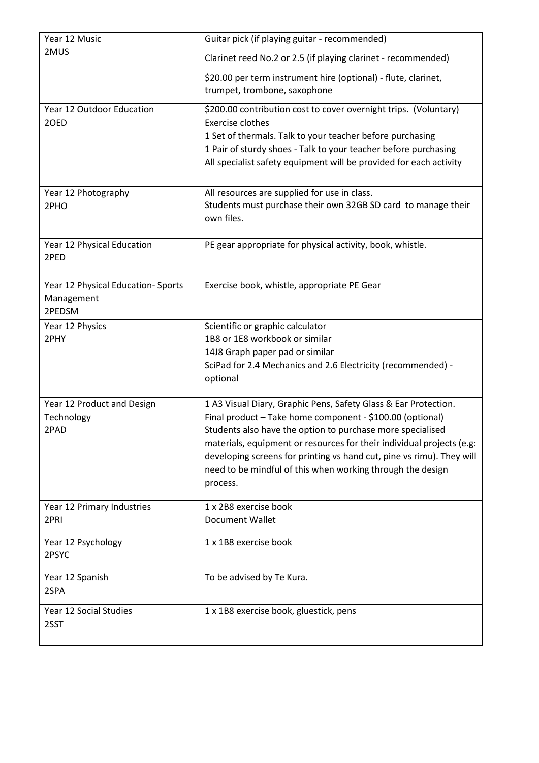| Year 12 Music                                             | Guitar pick (if playing guitar - recommended)                                                                                                                                                                                                                                                                                                                                                                          |
|-----------------------------------------------------------|------------------------------------------------------------------------------------------------------------------------------------------------------------------------------------------------------------------------------------------------------------------------------------------------------------------------------------------------------------------------------------------------------------------------|
| 2MUS                                                      | Clarinet reed No.2 or 2.5 (if playing clarinet - recommended)                                                                                                                                                                                                                                                                                                                                                          |
|                                                           | \$20.00 per term instrument hire (optional) - flute, clarinet,<br>trumpet, trombone, saxophone                                                                                                                                                                                                                                                                                                                         |
| Year 12 Outdoor Education<br>20ED                         | \$200.00 contribution cost to cover overnight trips. (Voluntary)<br><b>Exercise clothes</b><br>1 Set of thermals. Talk to your teacher before purchasing<br>1 Pair of sturdy shoes - Talk to your teacher before purchasing<br>All specialist safety equipment will be provided for each activity                                                                                                                      |
| Year 12 Photography<br>2PHO                               | All resources are supplied for use in class.<br>Students must purchase their own 32GB SD card to manage their<br>own files.                                                                                                                                                                                                                                                                                            |
| Year 12 Physical Education<br>2PED                        | PE gear appropriate for physical activity, book, whistle.                                                                                                                                                                                                                                                                                                                                                              |
| Year 12 Physical Education-Sports<br>Management<br>2PEDSM | Exercise book, whistle, appropriate PE Gear                                                                                                                                                                                                                                                                                                                                                                            |
| Year 12 Physics<br>2PHY                                   | Scientific or graphic calculator<br>1B8 or 1E8 workbook or similar<br>14J8 Graph paper pad or similar<br>SciPad for 2.4 Mechanics and 2.6 Electricity (recommended) -<br>optional                                                                                                                                                                                                                                      |
| Year 12 Product and Design<br>Technology<br>2PAD          | 1 A3 Visual Diary, Graphic Pens, Safety Glass & Ear Protection.<br>Final product - Take home component - \$100.00 (optional)<br>Students also have the option to purchase more specialised<br>materials, equipment or resources for their individual projects (e.g:<br>developing screens for printing vs hand cut, pine vs rimu). They will<br>need to be mindful of this when working through the design<br>process. |
| Year 12 Primary Industries<br>2PRI                        | 1 x 2B8 exercise book<br>Document Wallet                                                                                                                                                                                                                                                                                                                                                                               |
| Year 12 Psychology<br>2PSYC                               | 1 x 1B8 exercise book                                                                                                                                                                                                                                                                                                                                                                                                  |
| Year 12 Spanish<br>2SPA                                   | To be advised by Te Kura.                                                                                                                                                                                                                                                                                                                                                                                              |
| Year 12 Social Studies<br>2SST                            | 1 x 1B8 exercise book, gluestick, pens                                                                                                                                                                                                                                                                                                                                                                                 |